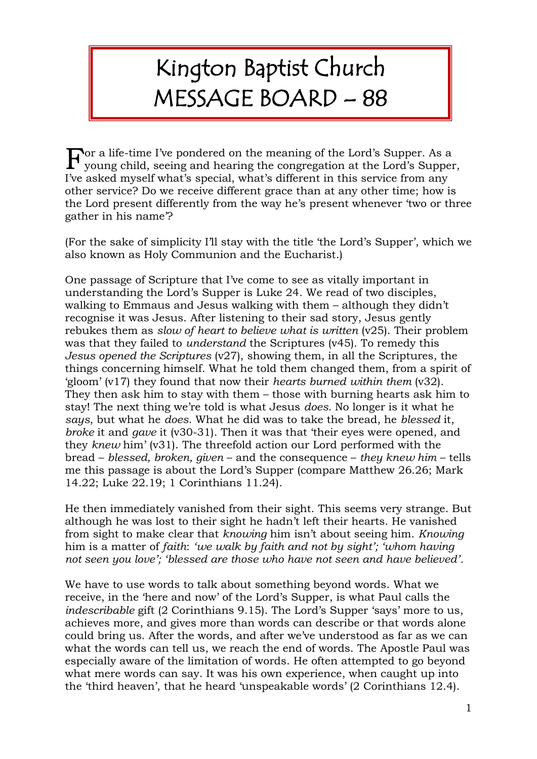## Kington Baptist Church MESSAGE BOARD – 88

 $\mathbf F$  or a life-time I've pondered on the meaning of the Lord's Supper. As a young child, seeing and hearing the congregation at the Lord's Supper young child, seeing and hearing the congregation at the Lord's Supper, I've asked myself what's special, what's different in this service from any other service? Do we receive different grace than at any other time; how is the Lord present differently from the way he's present whenever 'two or three gather in his name'?

(For the sake of simplicity I'll stay with the title 'the Lord's Supper', which we also known as Holy Communion and the Eucharist.)

One passage of Scripture that I've come to see as vitally important in understanding the Lord's Supper is Luke 24. We read of two disciples, walking to Emmaus and Jesus walking with them – although they didn't recognise it was Jesus. After listening to their sad story, Jesus gently rebukes them as *slow of heart to believe what is written* (v25). Their problem was that they failed to *understand* the Scriptures (v45). To remedy this *Jesus opened the Scriptures* (v27), showing them, in all the Scriptures, the things concerning himself. What he told them changed them, from a spirit of 'gloom' (v17) they found that now their *hearts burned within them* (v32). They then ask him to stay with them – those with burning hearts ask him to stay! The next thing we're told is what Jesus *does.* No longer is it what he *says*, but what he *does*. What he did was to take the bread, he *blessed* it, *broke* it and *gave* it (v30-31). Then it was that 'their eyes were opened, and they *knew* him' (v31). The threefold action our Lord performed with the bread – *blessed, broken, given* – and the consequence – *they knew him* – tells me this passage is about the Lord's Supper (compare Matthew 26.26; Mark 14.22; Luke 22.19; 1 Corinthians 11.24).

He then immediately vanished from their sight. This seems very strange. But although he was lost to their sight he hadn't left their hearts. He vanished from sight to make clear that *knowing* him isn't about seeing him. *Knowing* him is a matter of *faith*: *'we walk by faith and not by sight'; 'whom having not seen you love'; 'blessed are those who have not seen and have believed'.*

We have to use words to talk about something beyond words. What we receive, in the 'here and now' of the Lord's Supper, is what Paul calls the *indescribable* gift (2 Corinthians 9.15). The Lord's Supper 'says' more to us, achieves more, and gives more than words can describe or that words alone could bring us. After the words, and after we've understood as far as we can what the words can tell us, we reach the end of words. The Apostle Paul was especially aware of the limitation of words. He often attempted to go beyond what mere words can say. It was his own experience, when caught up into the 'third heaven', that he heard 'unspeakable words' (2 Corinthians 12.4).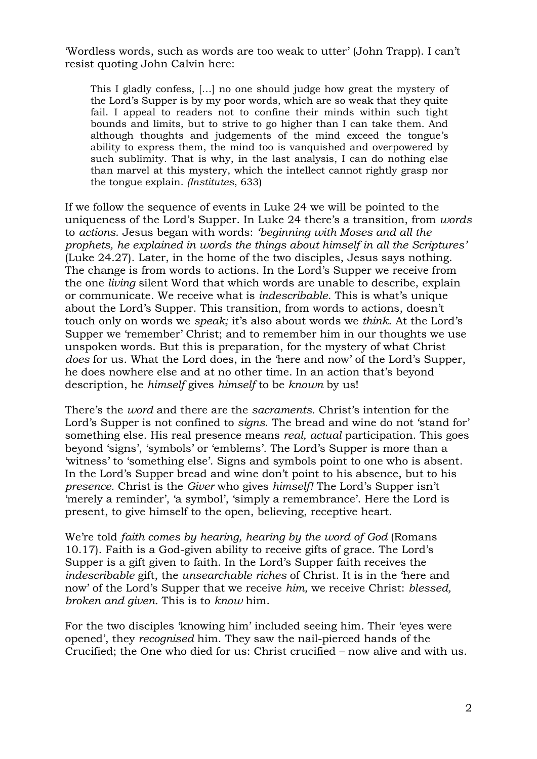'Wordless words, such as words are too weak to utter' (John Trapp). I can't resist quoting John Calvin here:

This I gladly confess, […] no one should judge how great the mystery of the Lord's Supper is by my poor words, which are so weak that they quite fail. I appeal to readers not to confine their minds within such tight bounds and limits, but to strive to go higher than I can take them. And although thoughts and judgements of the mind exceed the tongue's ability to express them, the mind too is vanquished and overpowered by such sublimity. That is why, in the last analysis, I can do nothing else than marvel at this mystery, which the intellect cannot rightly grasp nor the tongue explain. *(Institutes*, 633)

If we follow the sequence of events in Luke 24 we will be pointed to the uniqueness of the Lord's Supper. In Luke 24 there's a transition, from *words* to *actions*. Jesus began with words: *'beginning with Moses and all the prophets, he explained in words the things about himself in all the Scriptures'* (Luke 24.27). Later, in the home of the two disciples, Jesus says nothing. The change is from words to actions. In the Lord's Supper we receive from the one *living* silent Word that which words are unable to describe, explain or communicate. We receive what is *indescribable*. This is what's unique about the Lord's Supper. This transition, from words to actions, doesn't touch only on words we *speak;* it's also about words we *think*. At the Lord's Supper we 'remember' Christ; and to remember him in our thoughts we use unspoken words. But this is preparation, for the mystery of what Christ *does* for us. What the Lord does, in the 'here and now' of the Lord's Supper, he does nowhere else and at no other time. In an action that's beyond description, he *himself* gives *himself* to be *known* by us!

There's the *word* and there are the *sacraments.* Christ's intention for the Lord's Supper is not confined to *signs*. The bread and wine do not 'stand for' something else. His real presence means *real, actual* participation. This goes beyond 'signs', 'symbols' or 'emblems'. The Lord's Supper is more than a 'witness' to 'something else'. Signs and symbols point to one who is absent. In the Lord's Supper bread and wine don't point to his absence, but to his *presence.* Christ is the *Giver* who gives *himself!* The Lord's Supper isn't 'merely a reminder', 'a symbol', 'simply a remembrance'. Here the Lord is present, to give himself to the open, believing, receptive heart.

We're told *faith comes by hearing, hearing by the word of God* (Romans 10.17). Faith is a God-given ability to receive gifts of grace. The Lord's Supper is a gift given to faith. In the Lord's Supper faith receives the *indescribable* gift, the *unsearchable riches* of Christ. It is in the 'here and now' of the Lord's Supper that we receive *him,* we receive Christ: *blessed, broken and given.* This is to *know* him.

For the two disciples 'knowing him' included seeing him. Their 'eyes were opened', they *recognised* him. They saw the nail-pierced hands of the Crucified; the One who died for us: Christ crucified – now alive and with us.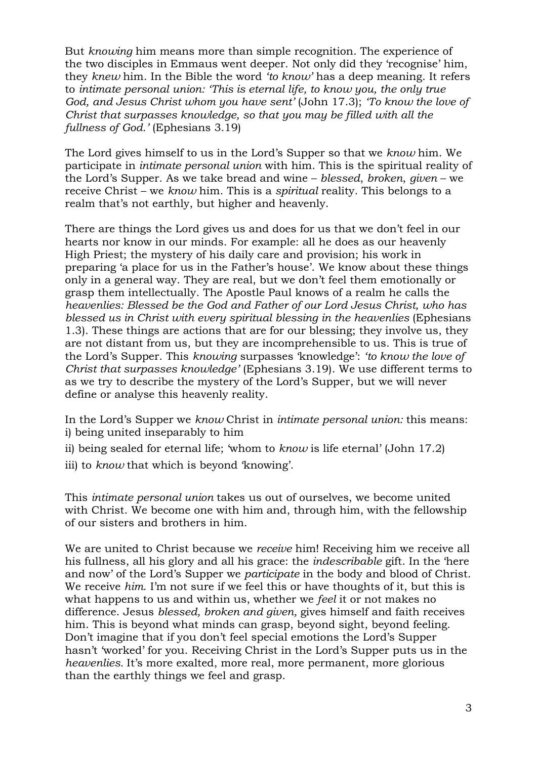But *knowing* him means more than simple recognition. The experience of the two disciples in Emmaus went deeper. Not only did they 'recognise' him, they *knew* him. In the Bible the word *'to know'* has a deep meaning. It refers to *intimate personal union: 'This is eternal life, to know you, the only true God, and Jesus Christ whom you have sent'* (John 17.3); *'To know the love of Christ that surpasses knowledge, so that you may be filled with all the fullness of God.'* (Ephesians 3.19)

The Lord gives himself to us in the Lord's Supper so that we *know* him. We participate in *intimate personal union* with him. This is the spiritual reality of the Lord's Supper. As we take bread and wine – *blessed*, *broken*, *given* – we receive Christ – we *know* him. This is a *spiritual* reality. This belongs to a realm that's not earthly, but higher and heavenly.

There are things the Lord gives us and does for us that we don't feel in our hearts nor know in our minds. For example: all he does as our heavenly High Priest; the mystery of his daily care and provision; his work in preparing 'a place for us in the Father's house'. We know about these things only in a general way. They are real, but we don't feel them emotionally or grasp them intellectually. The Apostle Paul knows of a realm he calls the *heavenlies: Blessed be the God and Father of our Lord Jesus Christ, who has blessed us in Christ with every spiritual blessing in the heavenlies* (Ephesians 1.3). These things are actions that are for our blessing; they involve us, they are not distant from us, but they are incomprehensible to us. This is true of the Lord's Supper. This *knowing* surpasses 'knowledge': *'to know the love of Christ that surpasses knowledge'* (Ephesians 3.19). We use different terms to as we try to describe the mystery of the Lord's Supper, but we will never define or analyse this heavenly reality.

In the Lord's Supper we *know* Christ in *intimate personal union:* this means: i) being united inseparably to him

- ii) being sealed for eternal life; 'whom to *know* is life eternal' (John 17.2)
- iii) to *know* that which is beyond 'knowing'.

This *intimate personal union* takes us out of ourselves, we become united with Christ. We become one with him and, through him, with the fellowship of our sisters and brothers in him.

We are united to Christ because we *receive* him! Receiving him we receive all his fullness, all his glory and all his grace: the *indescribable* gift. In the 'here and now' of the Lord's Supper we *participate* in the body and blood of Christ. We receive *him*. I'm not sure if we feel this or have thoughts of it, but this is what happens to us and within us, whether we *feel* it or not makes no difference. Jesus *blessed, broken and given,* gives himself and faith receives him. This is beyond what minds can grasp, beyond sight, beyond feeling. Don't imagine that if you don't feel special emotions the Lord's Supper hasn't 'worked' for you. Receiving Christ in the Lord's Supper puts us in the *heavenlies.* It's more exalted, more real, more permanent, more glorious than the earthly things we feel and grasp.